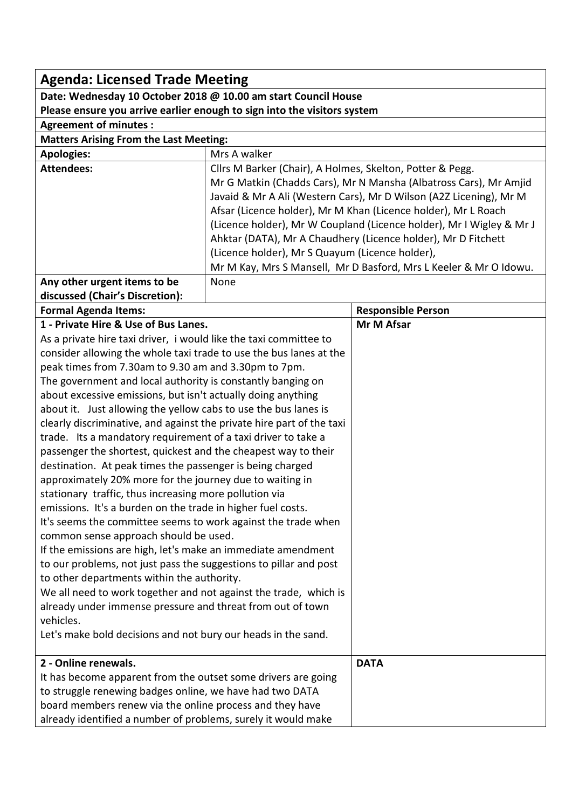| <b>Agenda: Licensed Trade Meeting</b>                                                                                                    |                                                                      |                           |  |  |
|------------------------------------------------------------------------------------------------------------------------------------------|----------------------------------------------------------------------|---------------------------|--|--|
| Date: Wednesday 10 October 2018 @ 10.00 am start Council House                                                                           |                                                                      |                           |  |  |
| Please ensure you arrive earlier enough to sign into the visitors system                                                                 |                                                                      |                           |  |  |
| <b>Agreement of minutes:</b>                                                                                                             |                                                                      |                           |  |  |
| <b>Matters Arising From the Last Meeting:</b>                                                                                            |                                                                      |                           |  |  |
| <b>Apologies:</b>                                                                                                                        | Mrs A walker                                                         |                           |  |  |
| <b>Attendees:</b>                                                                                                                        | Cllrs M Barker (Chair), A Holmes, Skelton, Potter & Pegg.            |                           |  |  |
|                                                                                                                                          | Mr G Matkin (Chadds Cars), Mr N Mansha (Albatross Cars), Mr Amjid    |                           |  |  |
|                                                                                                                                          | Javaid & Mr A Ali (Western Cars), Mr D Wilson (A2Z Licening), Mr M   |                           |  |  |
|                                                                                                                                          | Afsar (Licence holder), Mr M Khan (Licence holder), Mr L Roach       |                           |  |  |
|                                                                                                                                          | (Licence holder), Mr W Coupland (Licence holder), Mr I Wigley & Mr J |                           |  |  |
|                                                                                                                                          | Ahktar (DATA), Mr A Chaudhery (Licence holder), Mr D Fitchett        |                           |  |  |
|                                                                                                                                          | (Licence holder), Mr S Quayum (Licence holder),                      |                           |  |  |
|                                                                                                                                          | Mr M Kay, Mrs S Mansell, Mr D Basford, Mrs L Keeler & Mr O Idowu.    |                           |  |  |
| Any other urgent items to be                                                                                                             | None                                                                 |                           |  |  |
| discussed (Chair's Discretion):                                                                                                          |                                                                      |                           |  |  |
| <b>Formal Agenda Items:</b>                                                                                                              |                                                                      | <b>Responsible Person</b> |  |  |
| 1 - Private Hire & Use of Bus Lanes.                                                                                                     |                                                                      | Mr M Afsar                |  |  |
| As a private hire taxi driver, i would like the taxi committee to                                                                        |                                                                      |                           |  |  |
| consider allowing the whole taxi trade to use the bus lanes at the<br>peak times from 7.30am to 9.30 am and 3.30pm to 7pm.               |                                                                      |                           |  |  |
|                                                                                                                                          |                                                                      |                           |  |  |
| The government and local authority is constantly banging on<br>about excessive emissions, but isn't actually doing anything              |                                                                      |                           |  |  |
|                                                                                                                                          |                                                                      |                           |  |  |
| about it. Just allowing the yellow cabs to use the bus lanes is<br>clearly discriminative, and against the private hire part of the taxi |                                                                      |                           |  |  |
| trade. Its a mandatory requirement of a taxi driver to take a                                                                            |                                                                      |                           |  |  |
| passenger the shortest, quickest and the cheapest way to their                                                                           |                                                                      |                           |  |  |
| destination. At peak times the passenger is being charged                                                                                |                                                                      |                           |  |  |
| approximately 20% more for the journey due to waiting in                                                                                 |                                                                      |                           |  |  |
| stationary traffic, thus increasing more pollution via                                                                                   |                                                                      |                           |  |  |
| emissions. It's a burden on the trade in higher fuel costs.                                                                              |                                                                      |                           |  |  |
| It's seems the committee seems to work against the trade when                                                                            |                                                                      |                           |  |  |
| common sense approach should be used.                                                                                                    |                                                                      |                           |  |  |
| If the emissions are high, let's make an immediate amendment                                                                             |                                                                      |                           |  |  |
| to our problems, not just pass the suggestions to pillar and post                                                                        |                                                                      |                           |  |  |
| to other departments within the authority.                                                                                               |                                                                      |                           |  |  |
| We all need to work together and not against the trade, which is                                                                         |                                                                      |                           |  |  |
| already under immense pressure and threat from out of town                                                                               |                                                                      |                           |  |  |
| vehicles.                                                                                                                                |                                                                      |                           |  |  |
| Let's make bold decisions and not bury our heads in the sand.                                                                            |                                                                      |                           |  |  |
| 2 - Online renewals.                                                                                                                     |                                                                      | <b>DATA</b>               |  |  |
| It has become apparent from the outset some drivers are going                                                                            |                                                                      |                           |  |  |
| to struggle renewing badges online, we have had two DATA                                                                                 |                                                                      |                           |  |  |
| board members renew via the online process and they have                                                                                 |                                                                      |                           |  |  |
| already identified a number of problems, surely it would make                                                                            |                                                                      |                           |  |  |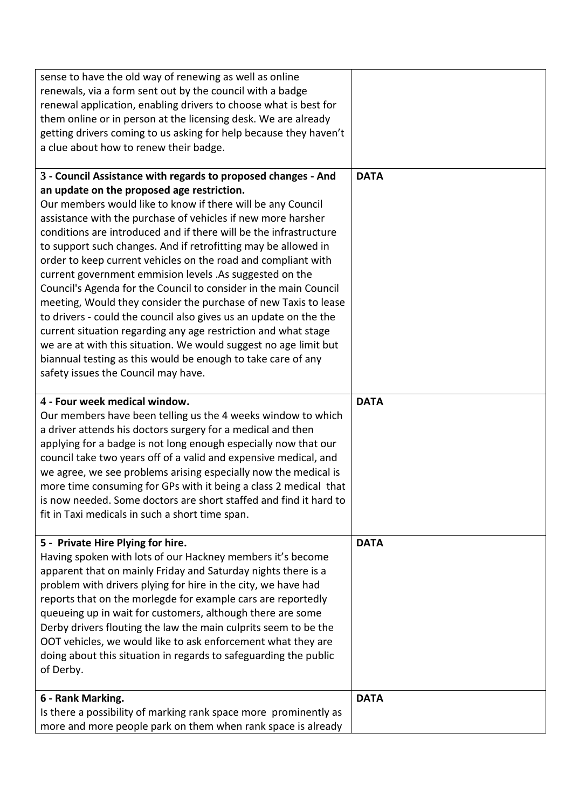| sense to have the old way of renewing as well as online           |             |
|-------------------------------------------------------------------|-------------|
| renewals, via a form sent out by the council with a badge         |             |
| renewal application, enabling drivers to choose what is best for  |             |
| them online or in person at the licensing desk. We are already    |             |
| getting drivers coming to us asking for help because they haven't |             |
| a clue about how to renew their badge.                            |             |
|                                                                   |             |
| 3 - Council Assistance with regards to proposed changes - And     | <b>DATA</b> |
| an update on the proposed age restriction.                        |             |
| Our members would like to know if there will be any Council       |             |
| assistance with the purchase of vehicles if new more harsher      |             |
| conditions are introduced and if there will be the infrastructure |             |
| to support such changes. And if retrofitting may be allowed in    |             |
| order to keep current vehicles on the road and compliant with     |             |
| current government emmision levels .As suggested on the           |             |
| Council's Agenda for the Council to consider in the main Council  |             |
| meeting, Would they consider the purchase of new Taxis to lease   |             |
| to drivers - could the council also gives us an update on the the |             |
|                                                                   |             |
| current situation regarding any age restriction and what stage    |             |
| we are at with this situation. We would suggest no age limit but  |             |
| biannual testing as this would be enough to take care of any      |             |
| safety issues the Council may have.                               |             |
|                                                                   |             |
| 4 - Four week medical window.                                     | <b>DATA</b> |
| Our members have been telling us the 4 weeks window to which      |             |
| a driver attends his doctors surgery for a medical and then       |             |
| applying for a badge is not long enough especially now that our   |             |
| council take two years off of a valid and expensive medical, and  |             |
| we agree, we see problems arising especially now the medical is   |             |
| more time consuming for GPs with it being a class 2 medical that  |             |
| is now needed. Some doctors are short staffed and find it hard to |             |
| fit in Taxi medicals in such a short time span.                   |             |
|                                                                   |             |
| 5 - Private Hire Plying for hire.                                 | <b>DATA</b> |
| Having spoken with lots of our Hackney members it's become        |             |
| apparent that on mainly Friday and Saturday nights there is a     |             |
| problem with drivers plying for hire in the city, we have had     |             |
| reports that on the morlegde for example cars are reportedly      |             |
| queueing up in wait for customers, although there are some        |             |
| Derby drivers flouting the law the main culprits seem to be the   |             |
| OOT vehicles, we would like to ask enforcement what they are      |             |
| doing about this situation in regards to safeguarding the public  |             |
| of Derby.                                                         |             |
|                                                                   |             |
| 6 - Rank Marking.                                                 | <b>DATA</b> |
| Is there a possibility of marking rank space more prominently as  |             |
| more and more people park on them when rank space is already      |             |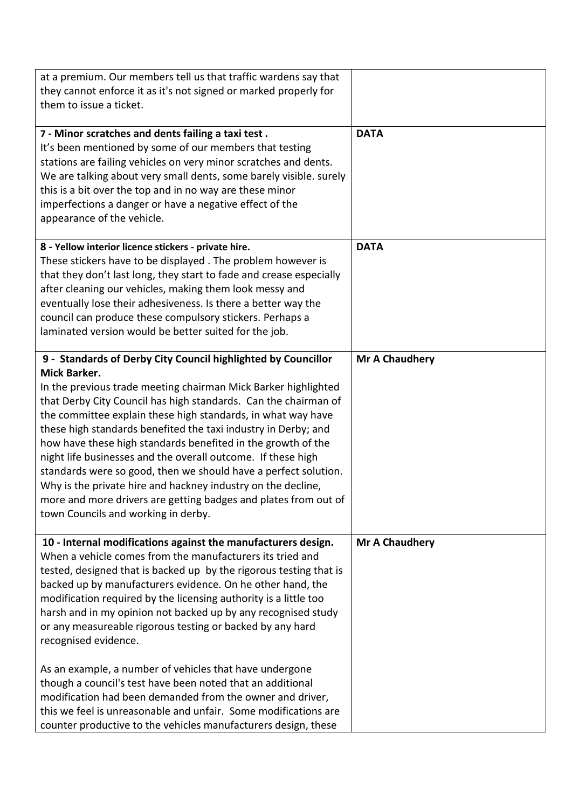| at a premium. Our members tell us that traffic wardens say that     |                       |
|---------------------------------------------------------------------|-----------------------|
| they cannot enforce it as it's not signed or marked properly for    |                       |
| them to issue a ticket.                                             |                       |
|                                                                     |                       |
| 7 - Minor scratches and dents failing a taxi test.                  | <b>DATA</b>           |
| It's been mentioned by some of our members that testing             |                       |
| stations are failing vehicles on very minor scratches and dents.    |                       |
| We are talking about very small dents, some barely visible. surely  |                       |
|                                                                     |                       |
| this is a bit over the top and in no way are these minor            |                       |
| imperfections a danger or have a negative effect of the             |                       |
| appearance of the vehicle.                                          |                       |
| 8 - Yellow interior licence stickers - private hire.                | <b>DATA</b>           |
|                                                                     |                       |
| These stickers have to be displayed. The problem however is         |                       |
| that they don't last long, they start to fade and crease especially |                       |
| after cleaning our vehicles, making them look messy and             |                       |
| eventually lose their adhesiveness. Is there a better way the       |                       |
| council can produce these compulsory stickers. Perhaps a            |                       |
| laminated version would be better suited for the job.               |                       |
|                                                                     |                       |
| 9 - Standards of Derby City Council highlighted by Councillor       | <b>Mr A Chaudhery</b> |
| <b>Mick Barker.</b>                                                 |                       |
| In the previous trade meeting chairman Mick Barker highlighted      |                       |
| that Derby City Council has high standards. Can the chairman of     |                       |
| the committee explain these high standards, in what way have        |                       |
| these high standards benefited the taxi industry in Derby; and      |                       |
| how have these high standards benefited in the growth of the        |                       |
| night life businesses and the overall outcome. If these high        |                       |
| standards were so good, then we should have a perfect solution.     |                       |
|                                                                     |                       |
| Why is the private hire and hackney industry on the decline,        |                       |
| more and more drivers are getting badges and plates from out of     |                       |
| town Councils and working in derby.                                 |                       |
| 10 - Internal modifications against the manufacturers design.       | Mr A Chaudhery        |
| When a vehicle comes from the manufacturers its tried and           |                       |
|                                                                     |                       |
| tested, designed that is backed up by the rigorous testing that is  |                       |
| backed up by manufacturers evidence. On he other hand, the          |                       |
| modification required by the licensing authority is a little too    |                       |
| harsh and in my opinion not backed up by any recognised study       |                       |
| or any measureable rigorous testing or backed by any hard           |                       |
| recognised evidence.                                                |                       |
|                                                                     |                       |
| As an example, a number of vehicles that have undergone             |                       |
| though a council's test have been noted that an additional          |                       |
| modification had been demanded from the owner and driver,           |                       |
| this we feel is unreasonable and unfair. Some modifications are     |                       |
| counter productive to the vehicles manufacturers design, these      |                       |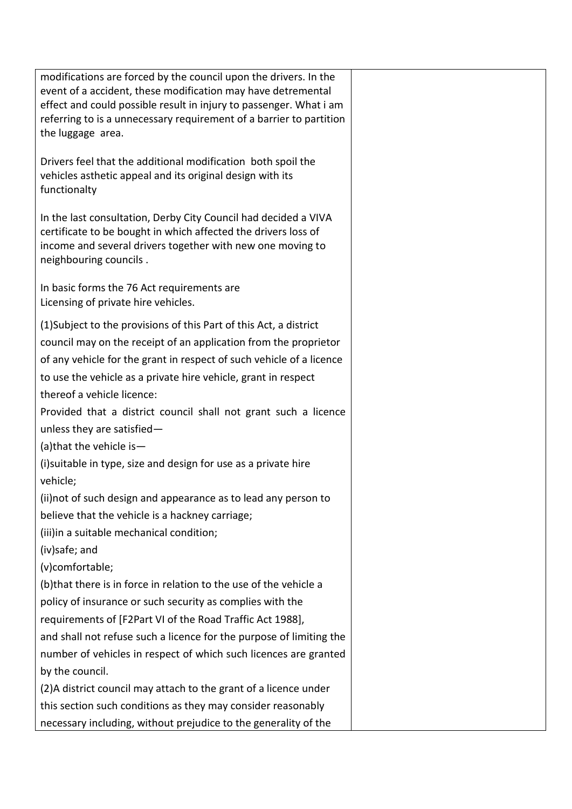| modifications are forced by the council upon the drivers. In the                                                                          |  |
|-------------------------------------------------------------------------------------------------------------------------------------------|--|
| event of a accident, these modification may have detremental                                                                              |  |
| effect and could possible result in injury to passenger. What i am<br>referring to is a unnecessary requirement of a barrier to partition |  |
| the luggage area.                                                                                                                         |  |
|                                                                                                                                           |  |
| Drivers feel that the additional modification both spoil the                                                                              |  |
| vehicles asthetic appeal and its original design with its                                                                                 |  |
| functionalty                                                                                                                              |  |
| In the last consultation, Derby City Council had decided a VIVA                                                                           |  |
| certificate to be bought in which affected the drivers loss of                                                                            |  |
| income and several drivers together with new one moving to                                                                                |  |
| neighbouring councils.                                                                                                                    |  |
| In basic forms the 76 Act requirements are                                                                                                |  |
| Licensing of private hire vehicles.                                                                                                       |  |
| (1) Subject to the provisions of this Part of this Act, a district                                                                        |  |
| council may on the receipt of an application from the proprietor                                                                          |  |
| of any vehicle for the grant in respect of such vehicle of a licence                                                                      |  |
| to use the vehicle as a private hire vehicle, grant in respect                                                                            |  |
| thereof a vehicle licence:                                                                                                                |  |
|                                                                                                                                           |  |
| Provided that a district council shall not grant such a licence                                                                           |  |
| unless they are satisfied-                                                                                                                |  |
| (a) that the vehicle is $-$                                                                                                               |  |
| (i)suitable in type, size and design for use as a private hire                                                                            |  |
| vehicle;                                                                                                                                  |  |
| (ii) not of such design and appearance as to lead any person to                                                                           |  |
| believe that the vehicle is a hackney carriage;                                                                                           |  |
| (iii)in a suitable mechanical condition;                                                                                                  |  |
| (iv)safe; and                                                                                                                             |  |
| (v)comfortable;                                                                                                                           |  |
| (b) that there is in force in relation to the use of the vehicle a                                                                        |  |
| policy of insurance or such security as complies with the                                                                                 |  |
| requirements of [F2Part VI of the Road Traffic Act 1988],                                                                                 |  |
| and shall not refuse such a licence for the purpose of limiting the                                                                       |  |
| number of vehicles in respect of which such licences are granted                                                                          |  |
| by the council.                                                                                                                           |  |
| (2) A district council may attach to the grant of a licence under                                                                         |  |
| this section such conditions as they may consider reasonably                                                                              |  |
| necessary including, without prejudice to the generality of the                                                                           |  |